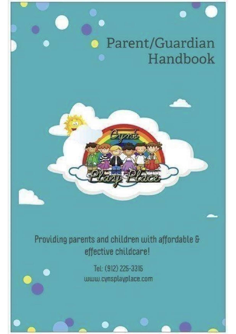

# Providing parents and children with affordable & effective childcare!

Tel: (912) 225-3315 www.cynsplayplace.com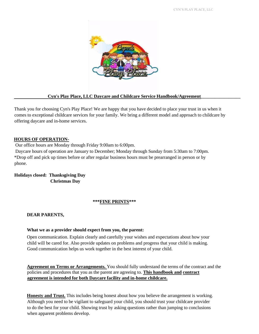CYN'S PLAY PLACE, LLC



## Cyn's Play Place, LLC Daycare and Childcare Service Handbook/Agreement

Thank you for choosing Cyn's Play Place! We are happy that you have decided to place your trust in us when it comes to exceptional childcare services for your family. We bring a different model and approach to childcare by offering daycare and in-home services.

## **HOURS OF OPERATION-**

Our office hours are Monday through Friday 9:00am to 6:00pm.

Daycare hours of operation are January to December; Monday through Sunday from 5:30am to 7:00pm. \*Drop off and pick up times before or after regular business hours must be prearranged in person or by phone.

**Holidays closed: Thanksgiving Day Christmas Day** 

#### **\*\*\*FINE PRINTS\*\*\***

#### **DEAR PARENTS,**

#### **What we as a provider should expect from you, the parent:**

Open communication. Explain clearly and carefully your wishes and expectations about how your child will be cared for. Also provide updates on problems and progress that your child is making. Good communication helps us work together in the best interest of your child.

**Agreement on Terms or Arrangements.** You should fully understand the terms of the contract and the policies and procedures that you as the parent are agreeing to. **This handbook and contract agreement is intended for both Daycare facility and in-home childcare.** 

**Honesty and Trust.** This includes being honest about how you believe the arrangement is working. Although you need to be vigilant to safeguard your child, you should trust your childcare provider to do the best for your child. Showing trust by asking questions rather than jumping to conclusions when apparent problems develop.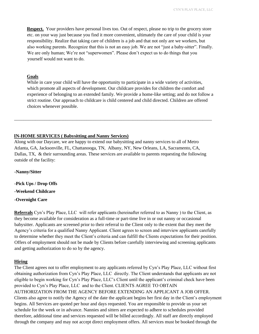**Respect.** Your providers have personal lives too. Out of respect, please no trip to the grocery store etc. on your way just because you find it more convenient, ultimately the care of your child is your responsibility. Realize that taking care of children is a job and that not only are we workers, but also working parents. Recognize that this is not an easy job. We are not "just a baby-sitter". Finally. We are only human; We're not "superwomen". Please don't expect us to do things that you yourself would not want to do.

#### **Goals**

While in care your child will have the opportunity to participate in a wide variety of activities, which promote all aspects of development. Our childcare provides for children the comfort and experience of belonging to an extended family. We provide a home-like setting; and do not follow a strict routine. Our approach to childcare is child centered and child directed. Children are offered choices whenever possible.

#### **IN-HOME SERVICES ( Babysitting and Nanny Services)**

Along with our Daycare, we are happy to extend our babysitting and nanny services to all of Metro Atlanta, GA, Jacksonville, FL, Chattanooga, TN, Albany, NY, New Orleans, LA, Sacramento, CA, Dallas, TX, & their surrounding areas. These services are available to parents requesting the following outside of the facility:

\_\_\_\_\_\_\_\_\_\_\_\_\_\_\_\_\_\_\_\_\_\_\_\_\_\_\_\_\_\_\_\_\_\_\_\_\_\_\_\_\_\_\_\_\_\_\_\_\_\_\_\_\_\_\_\_\_\_\_\_\_\_\_\_\_\_\_\_\_\_\_\_\_\_\_\_\_\_\_\_\_\_\_\_\_

**-Nanny/Sitter**

**-Pick Ups / Drop Offs -Weekend Childcare -Overnight Care** 

**Referrals** Cyn's Play Place, LLC will refer applicants (hereinafter referred to as Nanny ) to the Client, as they become available for consideration as a full-time or part-time live in or out nanny or occasional babysitter. Applicants are screened prior to their referral to the Client only to the extent that they meet the Agency's criteria for a qualified Nanny Applicant. Client agrees to screen and interview applicants carefully to determine whether they meet the Client's criteria and can fulfill the Clients expectations for their position. Offers of employment should not be made by Clients before carefully interviewing and screening applicants and getting authorization to do so by the agency.

#### **Hiring**

The Client agrees not to offer employment to any applicants referred by Cyn's Play Place, LLC without first obtaining authorization from Cyn's Play Place, LLC directly. The Client understands that applicants are not eligible to begin working for Cyn's Play Place, LLC's Client until the applicant's criminal check have been provided to Cyn's Play Place, LLC and to the Client. CLIENTS AGREE TO OBTAIN AUTHORIZATION FROM THE AGENCY BEFORE EXTENDING AN APPLICANT A JOB OFFER. Clients also agree to notify the Agency of the date the applicant begins her first day in the Client's employment begins. All Services are quoted per hour and days requested. You are responsible to provide us your set schedule for the week or in advance. Nannies and sitters are expected to adhere to schedules provided therefore, additional time and services requested will be billed accordingly. All staff are directly employed through the company and may not accept direct employment offers. All services must be booked through the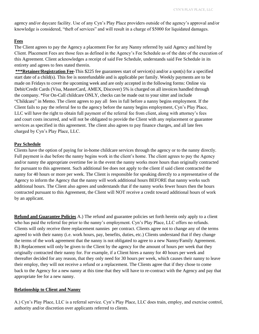agency and/or daycare facility. Use of any Cyn's Play Place providers outside of the agency's approval and/or knowledge is considered, "theft of services" and will result in a charge of \$5000 for liquidated damages.

## **Fees**

The Client agrees to pay the Agency a placement Fee for any Nanny referred by said Agency and hired by Client. Placement Fees are those fees as defined in the Agency's Fee Schedule as of the date of the execution of this Agreement. Client acknowledges a receipt of said Fee Schedule, understands said Fee Schedule in its entirety and agrees to fees stated therein.

**\*\*\*Retainer/Registration Fee**-This \$225 fee guarantees start of service(s) and/or a spot(s) for a specified start date of a child(s). This fee is nonrefundable and is applicable per family. Weekly payments are to be made on Fridays to cover the upcoming week and are only accepted in the following forms: Online via Debit/Credit Cards (Visa, MasterCard, AMEX, Discover) 5% is charged on all invoices handled through the company. \*For On-Call childcare ONLY, checks can be made out to your sitter and include "Childcare" in Memo. The client agrees to pay all fees in full before a nanny begins employment. If the Client fails to pay the referral fee to the agency before the nanny begins employment, Cyn's Play Place, LLC will have the right to obtain full payment of the referral fee from client, along with attorney's fees and court costs incurred, and will not be obligated to provide the Client with any replacement or guarantee services as specified in this agreement. The client also agrees to pay finance charges, and all late fees charged by Cyn's Play Place, LLC.

#### **Pay Schedule**

Clients have the option of paying for in-home childcare services through the agency or to the nanny directly. Full payment is due before the nanny begins work in the client's home. The client agrees to pay the Agency and/or nanny the appropriate overtime fee in the event the nanny works more hours than originally contracted for pursuant to this agreement. Such additional fee does not apply to the client if said client contracted the nanny for 40 hours or more per week. The Client is responsible for speaking directly to a representative of the Agency to inform the Agency that the nanny will work additional hours BEFORE that nanny works such additional hours. The Client also agrees and understands that if the nanny works fewer hours then the hours contracted pursuant to this Agreement, the Client will NOT receive a credit toward additional hours of work by an applicant.

**Refund and Guarantee Policies** A.) The refund and guarantee policies set forth herein only apply to a client who has paid the referral fee prior to the nanny's employment. Cyn's Play Place, LLC offers no refunds. Clients will only receive three replacement nannies per contract. Clients agree not to change any of the terms agreed to with their nanny (i.e. work hours, pay, benefits, duties, etc.) Clients understand that if they change the terms of the work agreement that the nanny is not obligated to agree to a new Nanny/Family Agreement. B.) Replacement will only be given to the Client by the agency for the amount of hours per week that they originally contracted their nanny for. For example, if a Client hires a nanny for 40 hours per week and thereafter decided for any reason, that they only need for 30 hours per week, which causes their nanny to leave their employ, they will not receive a refund or a replacement. The Clients agree that if they chose to come back to the Agency for a new nanny at this time that they will have to re-contract with the Agency and pay that appropriate fee for a new nanny.

#### **Relationship to Client and Nanny**

A.) Cyn's Play Place, LLC is a referral service. Cyn's Play Place, LLC does train, employ, and exercise control, authority and/or discretion over applicants referred to clients.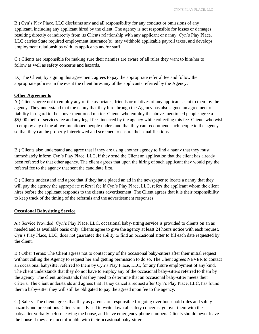B.) Cyn's Play Place, LLC disclaims any and all responsibility for any conduct or omissions of any applicant, including any applicant hired by the client. The agency is not responsible for losses or damages resulting directly or indirectly from its Clients relationship with any applicant or nanny. Cyn's Play Place, LLC carries State required employment insurance(s), may withhold applicable payroll taxes, and develops employment relationships with its applicants and/or staff.

C.) Clients are responsible for making sure their nannies are aware of all rules they want to him/her to follow as well as safety concerns and hazards.

D.) The Client, by signing this agreement, agrees to pay the appropriate referral fee and follow the appropriate policies in the event the client hires any of the applicants referred by the Agency.

#### **Other Agreements**

A.) Clients agree not to employ any of the associates, friends or relatives of any applicants sent to them by the agency. They understand that the nanny that they hire through the Agency has also signed an agreement of liability in regard to the above-mentioned matter. Clients who employ the above-mentioned people agree a \$5,000 theft of services fee and any legal fees incurred by the agency while collecting this fee. Clients who wish to employ any of the above-mentioned people understand that they can recommend such people to the agency so that they can be properly interviewed and screened to ensure their qualifications.

B.) Clients also understand and agree that if they are using another agency to find a nanny that they must immediately inform Cyn's Play Place, LLC, if they send the Client an application that the client has already been referred by that other agency. The client agrees that upon the hiring of such applicant they would pay the referral fee to the agency that sent the candidate first.

C.) Clients understand and agree that if they have placed an ad in the newspaper to locate a nanny that they will pay the agency the appropriate referral fee if Cyn's Play Place, LLC, refers the applicant whom the client hires before the applicant responds to the clients advertisement. The Client agrees that it is their responsibility to keep track of the timing of the referrals and the advertisement responses.

## **Occasional Babysitting Service**

A.) Service Provided: Cyn's Play Place, LLC, occasional baby-sitting service is provided to clients on an as needed and as available basis only. Clients agree to give the agency at least 24 hours notice with each request. Cyn's Play Place, LLC, does not guarantee the ability to find an occasional sitter to fill each date requested by the client.

B.) Other Terms: The Client agrees not to contact any of the occasional baby-sitters after their initial request without calling the Agency to request her and getting permission to do so. The Client agrees NEVER to contact an occasional babysitter referred to them by Cyn's Play Place, LLC, for any future employment of any kind. The client understands that they do not have to employ any of the occasional baby-sitters referred to them by the agency. The client understands that they need to determine that an occasional baby-sitter meets their criteria. The client understands and agrees that if they cancel a request after Cyn's Play Place, LLC, has found them a baby-sitter they will still be obligated to pay the agreed upon fee to the agency.

C.) Safety: The client agrees that they as parents are responsible for going over household rules and safety hazards and precautions. Clients are advised to write down all safety concerns, go over them with the babysitter verbally before leaving the house, and leave emergency phone numbers. Clients should never leave the house if they are uncomfortable with their occasional baby-sitter.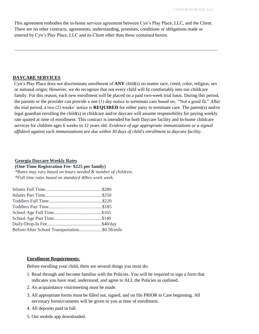This agreement embodies the in-home services agreement between Cyn's Play Place, LLC, and the Client. There are no other contracts, agreements, understanding, promises, conditions or obligations made or entered by Cyn's Play Place, LLC and its Client other than those contained herein.

\_\_\_\_\_\_\_\_\_\_\_\_\_\_\_\_\_\_\_\_\_\_\_\_\_\_\_\_\_\_\_\_\_\_\_\_\_\_\_\_\_\_\_\_\_\_\_\_\_\_\_\_\_\_\_\_\_\_\_\_\_\_\_\_\_\_\_\_\_\_\_\_\_\_\_\_\_\_\_\_

#### **DAYCARE SERVICES**

Cyn's Play Place does not discriminate enrollment of **ANY** child(s) no matter race, creed, color, religion, sex or national origin; However, we do recognize that not every child will fit comfortably into our childcare family. For this reason, each new enrollment will be placed on a paid two-week trial basis. During this period, the parents or the provider can provide a one (1) day notice to terminate care based on, "Not a good fit." After the trial period, a two (2) weeks' notice is **REQUIRED** for either party to terminate care. The parent(s) and/or legal guardian enrolling the child(s) in childcare and/or daycare will assume responsibility for paying weekly rate quoted at time of enrollment. This contract is intended for both Daycare facility and In-home childcare services for children ages 6 weeks to 12 years old. *Evidence of age appropriate immunizations or a signed affidavit against such immunizations are due within 30 days of child's enrollment to daycare facility.* 

#### **Georgia Daycare Weekly Rates**

**(One-Time Registration Fee- \$225 per family)** *\*Rates may vary based on hours needed & number of children.*

*\*Full time rates based on standard 40hrs work week.*

| Before/After School Transportation\$0.58/mile |
|-----------------------------------------------|
|                                               |

#### **Enrollment Requirements**:

Before enrolling your child, there are several things you must do:

- 1. Read through and become familiar with the Policies. You will be required to sign a form that indicates you have read, understand, and agree to ALL the Policies as outlined.
- 2. An acquaintance visit/meeting must be made.
- 3. All appropriate forms must be filled out, signed, and on file PRIOR to Care beginning. All necessary forms/consents will be given to you at time of enrollment.
- 4. All deposits paid in full.
- 5. Our mobile app downloaded.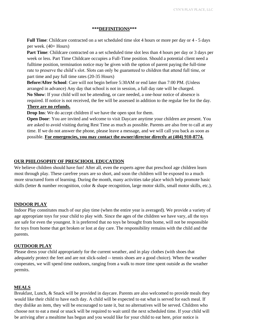#### **\*\*\*DEFINITIONS\*\*\***

**Full Time**: Childcare contracted on a set scheduled time slot 4 hours or more per day or 4 - 5 days per week. (40+ Hours)

**Part Time**: Childcare contracted on a set scheduled time slot less than 4 hours per day or 3 days per week or less. Part Time Childcare occupies a Full-Time position. Should a potential client need a fulltime position, termination notice may be given with the option of parent paying the full-time rate to preserve the child's slot. Slots can only be guaranteed to children that attend full time, or part time and pay full time rates (20-35 Hours)

**Before/After School**: Care will not begin before 5:30AM or end later than 7:00 PM. (Unless arranged in advance) Any day that school is not in session, a full day rate will be charged. **No Show**: If your child will not be attending, or care needed, a one-hour notice of absence is required. If notice is not received, the fee will be assessed in addition to the regular fee for the day. **There are no refunds.**

**Drop Ins**: We do accept children if we have the open spot for them.

**Open Door**: You are invited and welcome to visit Daycare anytime your children are present. You are asked to avoid visiting during Rest Time as much as possible. Parents are also free to call at any time. If we do not answer the phone, please leave a message, and we will call you back as soon as possible. **For emergencies, you may contact the owner/director directly at (404) 910-8774.**

#### **OUR PHILOSOPHY OF PRESCHOOL EDUCATION**

We believe children should have fun! After all, even the experts agree that preschool age children learn most through play. These carefree years are so short, and soon the children will be exposed to a much more structured form of learning. During the month, many activities take place which help promote basic skills (letter & number recognition, color & shape recognition, large motor skills, small motor skills, etc.).

#### **INDOOR PLAY**

Indoor Play constitutes much of our play time (when the entire year is averaged). We provide a variety of age appropriate toys for your child to play with. Since the ages of the children we have vary, all the toys are safe for even the youngest. It is preferred that no toys be brought from home, will not be responsible for toys from home that get broken or lost at day care. The responsibility remains with the child and the parents.

#### **OUTDOOR PLAY**

Please dress your child appropriately for the current weather, and in play clothes (with shoes that adequately protect the feet and are not slick-soled -- tennis shoes are a good choice). When the weather cooperates, we will spend time outdoors, ranging from a walk to more time spent outside as the weather permits.

#### **MEALS**

Breakfast, Lunch, & Snack will be provided in daycare. Parents are also welcomed to provide meals they would like their child to have each day. A child will be expected to eat what is served for each meal. If they dislike an item, they will be encouraged to taste it, but no alternatives will be served. Children who choose not to eat a meal or snack will be required to wait until the next scheduled time. If your child will be arriving after a mealtime has begun and you would like for your child to eat here, prior notice is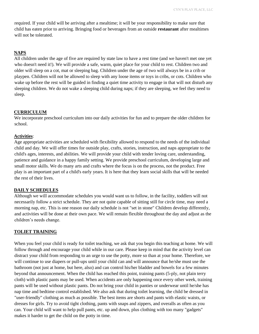required. If your child will be arriving after a mealtime; it will be your responsibility to make sure that child has eaten prior to arriving. Bringing food or beverages from an outside **restaurant** after mealtimes will not be tolerated.

#### **NAPS**

All children under the age of five are required by state law to have a rest time (and we haven't met one yet who doesn't need it!). We will provide a safe, warm, quiet place for your child to rest. Children two and older will sleep on a cot, mat or sleeping bag. Children under the age of two will always be in a crib or playpen. Children will not be allowed to sleep with any loose items or toys in cribs, or cots. Children who wake up before the rest will be guided in finding a quiet time activity to engage in that will not disturb any sleeping children. We do not wake a sleeping child during naps; if they are sleeping, we feel they need to sleep.

## **CURRICULUM**

We incorporate preschool curriculum into our daily activities for fun and to prepare the older children for school.

## **Activities**:

Age appropriate activities are scheduled with flexibility allowed to respond to the needs of the individual child and day. We will offer times for outside play, crafts, stories, instruction, and naps appropriate to the child's ages, interests, and abilities. We will provide your child with tender loving care, understanding, patience and guidance in a happy family setting. We provide preschool curriculum, developing large and small motor skills. We do many arts and crafts where the focus is on the process, not the product. Free play is an important part of a child's early years. It is here that they learn social skills that will be needed the rest of their lives.

#### **DAILY SCHEDULES**

Although we will accommodate schedules you would want us to follow, in the facility, toddlers will not necessarily follow a strict schedule. They are not quite capable of sitting still for circle time, may need a morning nap, etc. This is one reason our daily schedule is not "set in stone" Children develop differently, and activities will be done at their own pace. We will remain flexible throughout the day and adjust as the children's needs change.

## **TOLIET TRAINING**

When you feel your child is ready for toilet teaching, we ask that you begin this teaching at home. We will follow through and encourage your child while in our care. Please keep in mind that the activity level can distract your child from responding to an urge to use the potty, more so than at your home. Therefore, we will continue to use diapers or pull-ups until your child can and will announce that he/she must use the bathroom (not just at home, but here, also) and can control his/her bladder and bowels for a few minutes beyond that announcement. When the child has reached this point, training pants (5-ply, not plain terry cloth) with plastic pants may be used. When accidents are only happening once every other week, training pants will be used without plastic pants. Do not bring your child in panties or underwear until he/she has nap time and bedtime control established. We also ask that during toilet learning, the child be dressed in "user-friendly" clothing as much as possible. The best items are shorts and pants with elastic waists, or dresses for girls. Try to avoid tight clothing, pants with snaps and zippers, and overalls as often as you can. Your child will want to help pull pants, etc. up and down, plus clothing with too many "gadgets" makes it harder to get the child on the potty in time.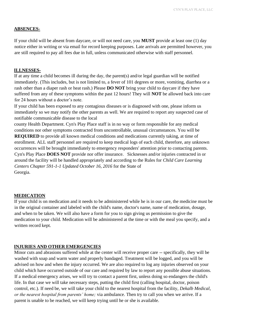#### **ABSENCES-**

If your child will be absent from daycare, or will not need care, you **MUST** provide at least one (1) day notice either in writing or via email for record keeping purposes. Late arrivals are permitted however, you are still required to pay all fees due in full, unless communicated otherwise with staff personnel.

#### **ILLNESSES-**

If at any time a child becomes ill during the day, the parent(s) and/or legal guardian will be notified immediately. (This includes, but is not limited to, a fever of 101 degrees or more, vomiting, diarrhea or a rash other than a diaper rash or heat rash.) Please **DO NOT** bring your child to daycare if they have suffered from any of these symptoms within the past 12 hours! They will **NOT** be allowed back into care for 24 hours without a doctor's note.

If your child has been exposed to any contagious diseases or is diagnosed with one, please inform us immediately so we may notify the other parents as well. We are required to report any suspected case of notifiable communicable disease to the local

county Health Department. Cyn's Play Place staff is in no way or form responsible for any medical conditions nor other symptoms contracted from uncontrollable, unusual circumstances. You will be **REQUIRED** to provide all known medical conditions and medications currently taking, at time of enrollment. ALL staff personnel are required to keep medical logs of each child, therefore, any unknown occurrences will be brought immediately to emergency responders' attention prior to contacting parents. Cyn's Play Place **DOES NOT** provide nor offer insurance. Sicknesses and/or injuries contracted in or around the facility will be handled appropriately and according to the Rules for *Child Care Learning Centers Chapter 591-1-1 Updated October 16, 2016* for the State of Georgia.

#### **MEDICATION**

If your child is on medication and it needs to be administered while he is in our care, the medicine must be in the original container and labeled with the child's name, doctor's name, name of medication, dosage, and when to be taken. We will also have a form for you to sign giving us permission to give the medication to your child. Medication will be administered at the time or with the meal you specify, and a written record kept.

#### **INJURIES AND OTHER EMERGENCIES**

Minor cuts and abrasions suffered while at the center will receive proper care -- specifically, they will be washed with soap and warm water and properly bandaged. Treatment will be logged, and you will be advised on how and when the injury occurred. We are also required to log any injuries observed on your child which have occurred outside of our care and required by law to report any possible abuse situations. If a medical emergency arises, we will try to contact a parent first, unless doing so endangers the child's life. In that case we will take necessary steps, putting the child first (calling hospital, doctor, poison control, etc.). If need be, we will take your child to the nearest hospital from the facility, *Dekalb Medical*, *or the nearest hospital from parents' home;* via ambulance. Then try to call you when we arrive. If a parent is unable to be reached, we will keep trying until he or she is available.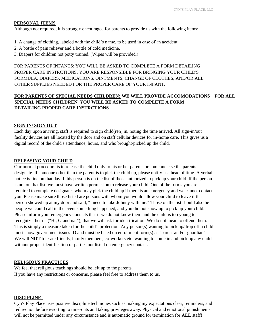#### **PERSONAL ITEMS**

Although not required, it is strongly encouraged for parents to provide us with the following items:

- 1. A change of clothing, labeled with the child's name, to be used in case of an accident.
- 2. A bottle of pain reliever and a bottle of cold medicine.
- 3. Diapers for children not potty trained. (Wipes will be provided.)

FOR PARENTS OF INFANTS: YOU WILL BE ASKED TO COMPLETE A FORM DETAILING PROPER CARE INSTRCTIONS. YOU ARE RESPONSIBLE FOR BRINGING YOUR CHILD'S FORMULA, DIAPERS, MEDICATIONS, OINTMENTS, CHANGE OF CLOTHES, AND/OR ALL OTHER SUPPLIES NEEDED FOR THE PROPER CARE OF YOUR INFANT.

## **FOR PARENTS OF SPECIAL NEEDS CHILDREN: WE WILL PROVIDE ACCOMODATIONS FOR ALL SPECIAL NEEDS CHILDREN. YOU WILL BE ASKED TO COMPLETE A FORM DETAILING PROPER CARE INSTRCTIONS.**

#### **SIGN IN/ SIGN OUT**

Each day upon arriving, staff is required to sign child(ren) in, noting the time arrived. All sign-in/out facility devices are all located by the door and on staff cellular devices for in-home care. This gives us a digital record of the child's attendance, hours, and who brought/picked up the child.

#### **RELEASING YOUR CHILD**

Our normal procedure is to release the child only to his or her parents or someone else the parents designate. If someone other than the parent is to pick the child up, please notify us ahead of time. A verbal notice is fine on that day if this person is on the list of those authorized to pick up your child. If the person is not on that list, we must have written permission to release your child. One of the forms you are required to complete designates who may pick the child up if there is an emergency and we cannot contact you. Please make sure those listed are persons with whom you would allow your child to leave if that person showed up at my door and said, "I need to take Johnny with me." Those on the list should also be people we could call in the event something happened, and you did not show up to pick up your child. Please inform your emergency contacts that if we do not know them and the child is too young to recognize them ("Hi, Grandma!"), that we will ask for identification. We do not mean to offend them. This is simply a measure taken for the child's protection. Any person(s) wanting to pick up/drop off a child must show government issues ID and must be listed on enrollment form(s) as "parent and/or guardian". We will **NOT** tolerate friends, family members, co-workers etc. wanting to come in and pick up any child without proper identification or parties not listed on emergency contact.

#### **RELIGIOUS PRACTICES**

We feel that religious teachings should be left up to the parents. If you have any restrictions or concerns, please feel free to address them to us.

#### **DISCIPLINE-**

Cyn's Play Place uses positive discipline techniques such as making my expectations clear, reminders, and redirection before resorting to time-outs and taking privileges away. Physical and emotional punishments will not be permitted under any circumstance and is automatic ground for termination for **ALL** staff!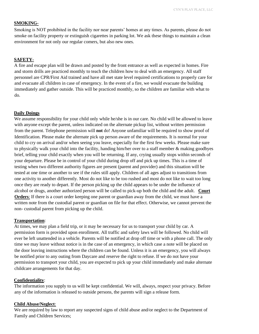#### **SMOKING-**

Smoking is NOT prohibited in the facility nor near parents' homes at any times. As parents, please do not smoke on facility property or extinguish cigarettes in parking lot. We ask these things to maintain a clean environment for not only our regular comers, but also new ones.

## **SAFETY-**

A fire and escape plan will be drawn and posted by the front entrance as well as expected in homes. Fire and storm drills are practiced monthly to teach the children how to deal with an emergency. All staff personnel are CPR/First Aid trained and have all met state level required certifications to properly care for and evacuate all children in case of emergency. In the event of a fire, we would evacuate the building immediately and gather outside. This will be practiced monthly, so the children are familiar with what to do.

#### **Daily Doings**

We assume responsibility for your child only while he/she is in our care. No child will be allowed to leave with anyone except the parent, unless indicated on the alternate pickup list, without written permission from the parent. Telephone permission will **not** do! Anyone unfamiliar will be required to show proof of Identification. Please make the alternate pick up person aware of the requirements. It is normal for your child to cry on arrival and/or when seeing you leave, especially for the first few weeks. Please make sure to physically walk your child into the facility, handing him/her over to a staff member & making goodbyes brief, telling your child exactly when you will be returning. If any, crying usually stops within seconds of your departure. Please be in control of your child during drop off and pick up times. This is a time of testing when two different authority figures are present (parent and provider) and this situation will be tested at one time or another to see if the rules still apply. Children of all ages adjust to transitions from one activity to another differently. Most do not like to be too rushed and most do not like to wait too long once they are ready to depart. If the person picking up the child appears to be under the influence of alcohol or drugs, another authorized person will be called to pick-up both the child and the adult. **Court Orders**: If there is a court order keeping one parent or guardian away from the child, we must have a written note from the custodial parent or guardian on file for that effect. Otherwise, we cannot prevent the non- custodial parent from picking up the child.

#### **Transportation**:

At times, we may plan a field trip, or it may be necessary for us to transport your child by car. A permission form is provided upon enrollment. All traffic and safety laws will be followed. No child will ever be left unattended in a vehicle. Parents will be notified at drop off time or with a phone call. The only time we may leave without notice is in the case of an emergency, in which case a note will be placed on the door leaving instructions where the children can be found. Unless it is an emergency, you will always be notified prior to any outing from Daycare and reserve the right to refuse. If we do not have your permission to transport your child, you are expected to pick up your child immediately and make alternate childcare arrangements for that day.

#### **Confidentiality**:

The information you supply to us will be kept confidential. We will, always, respect your privacy. Before any of the information is released to outside persons, the parents will sign a release form.

#### **Child Abuse/Neglect**:

We are required by law to report any suspected signs of child abuse and/or neglect to the Department of Family and Children Services;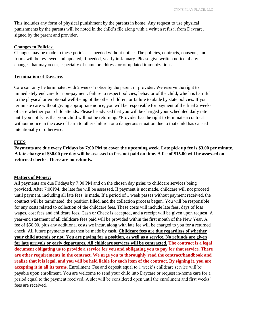This includes any form of physical punishment by the parents in home. Any request to use physical punishments by the parents will be noted in the child's file along with a written refusal from Daycare, signed by the parent and provider.

#### **Changes to Policies**:

Changes may be made to these policies as needed without notice. The policies, contracts, consents, and forms will be reviewed and updated, if needed, yearly in January. Please give written notice of any changes that may occur, especially of name or address, or of updated immunizations.

#### **Termination of Daycare**:

Care can only be terminated with 2 weeks' notice by the parent or provider. We reserve the right to immediately end care for non-payment, failure to respect policies, behavior of the child, which is harmful to the physical or emotional well-being of the other children, or failure to abide by state policies. If you terminate care without giving appropriate notice, you will be responsible for payment of the final 2 weeks of care whether your child attends. Please be advised that you will be charged your scheduled daily rate until you notify us that your child will not be returning. \*Provider has the right to terminate a contract without notice in the case of harm to other children or a dangerous situation due to that child has caused intentionally or otherwise.

#### **FEES**

**Payments are due every Fridays by 7:00 PM to cover the upcoming week. Late pick up fee is \$3.00 per minute. A late charge of \$30.00 per day will be assessed to fees not paid on time. A fee of \$15.00 will be assessed on returned checks. There are no refunds.**

#### **Matters of Money:**

All payments are due Fridays by 7:00 PM and on the chosen day **prior** to childcare services being provided. After 7:00PM, the late fee will be assessed. If payment is not made, childcare will not proceed until payment, including all late fees, is made. If a period of 1 week passes without payment received, the contract will be terminated, the position filled, and the collection process begun. You will be responsible for any costs related to collection of the childcare fees. These costs will include late fees, days of loss wages, cost fees and childcare fees. Cash or Check is accepted, and a receipt will be given upon request. A year-end statement of all childcare fees paid will be provided within the first month of the New Year. A fee of \$50.00, plus any additional costs we incur, along with late fee will be charged to you for a returned check. All future payments must then be made by cash. **Childcare fees are due regardless of whether your child attends or not. You are paying for a position, as well as a service. No refunds are given for late arrivals or early departures. All childcare services will be contracted. The contract is a legal document obligating us to provide a service for you and obligating you to pay for that service. There are other requirements in the contract. We urge you to thoroughly read the contract/handbook and realize that it is legal, and you will be held liable for each item of the contract. By signing it, you are accepting it in all its terms.** Enrollment Fee and deposit equal to 1 week's childcare service will be payable upon enrollment. You are welcome to send your child into Daycare or request in-home care for a period equal to the payment received. A slot will be considered open until the enrollment and first weeks' fees are received.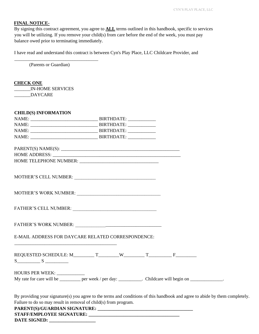## **FINAL NOTICE-**

By signing this contract agreement, you agree to **ALL** terms outlined in this handbook, specific to services you will be utilizing. If you remove your child(s) from care before the end of the week, you must pay balance owed prior to terminating immediately.

I have read and understand this contract is between Cyn's Play Place, LLC Childcare Provider, and

(Parents or Guardian)

\_\_\_\_\_\_\_\_\_\_\_\_\_\_\_\_\_\_\_\_\_\_\_\_\_\_\_\_\_\_\_\_\_\_\_\_

## **CHECK ONE**

\_\_\_\_\_\_\_IN-HOME SERVICES \_\_\_\_\_\_\_DAYCARE

| <b>CHILD(S) INFORMATION</b>                                                                                                                                                                                                    |  |  |
|--------------------------------------------------------------------------------------------------------------------------------------------------------------------------------------------------------------------------------|--|--|
|                                                                                                                                                                                                                                |  |  |
|                                                                                                                                                                                                                                |  |  |
|                                                                                                                                                                                                                                |  |  |
|                                                                                                                                                                                                                                |  |  |
|                                                                                                                                                                                                                                |  |  |
|                                                                                                                                                                                                                                |  |  |
|                                                                                                                                                                                                                                |  |  |
|                                                                                                                                                                                                                                |  |  |
|                                                                                                                                                                                                                                |  |  |
|                                                                                                                                                                                                                                |  |  |
| FATHER'S WORK NUMBER: Partners and Partners and Partners and Partners and Partners and Partners and Partners and Partners and Partners and Partners and Partners and Partners and Partners and Partners and Partners and Partn |  |  |
| E-MAIL ADDRESS FOR DAYCARE RELATED CORRESPONDENCE:                                                                                                                                                                             |  |  |
| REQUESTED SCHEDULE: $M_$ T _________ W ________ T _________ F _________                                                                                                                                                        |  |  |
| HOURS PER WEEK: ____________                                                                                                                                                                                                   |  |  |
| My rate for care will be __________ per week / per day: _________. Childcare will begin on _____________.                                                                                                                      |  |  |
| By providing your signature(s) you agree to the terms and conditions of this handbook and agree to abide by them completely.<br>Failure to do so may result in removal of child(s) from program.                               |  |  |
| PARENT(S)/GUARDIAN SIGNATURE:                                                                                                                                                                                                  |  |  |

**DATE SIGNED: \_\_\_\_\_\_\_\_\_\_\_\_\_\_\_\_\_\_\_\_**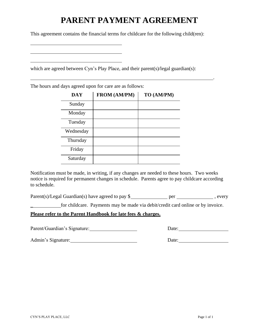## **PARENT PAYMENT AGREEMENT**

This agreement contains the financial terms for childcare for the following child(ren):

which are agreed between Cyn's Play Place, and their parent(s)/legal guardian(s):

The hours and days agreed upon for care are as follows:

| <b>DAY</b> | FROM (AM/PM) | TO (AM/PM) |
|------------|--------------|------------|
| Sunday     |              |            |
| Monday     |              |            |
| Tuesday    |              |            |
| Wednesday  |              |            |
| Thursday   |              |            |
| Friday     |              |            |
| Saturday   |              |            |

Notification must be made, in writing, if any changes are needed to these hours. Two weeks notice is required for permanent changes in schedule. Parents agree to pay childcare according to schedule.

 $Parent(s)/legal$  Guardian(s) have agreed to pay  $\frac{s}{s}$  per  $\frac{\frac{s}{s}}{s}$ , every

\_ for childcare. Payments may be made via debit/credit card online or by invoice.

**Please refer to the Parent Handbook for late fees & charges.**

Parent/Guardian's Signature: Date: Date:

.

Admin's Signature: Date: Date: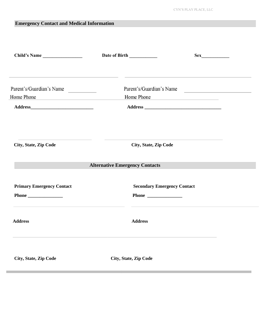| <b>Emergency Contact and Medical Information</b>                                         |                                        |
|------------------------------------------------------------------------------------------|----------------------------------------|
| Child's Name                                                                             | Sex                                    |
| Parent's/Guardian's Name<br>Home Phone<br><u> 1980 - Andrea State Barbara, poeta esp</u> | Parent's/Guardian's Name<br>Home Phone |
|                                                                                          |                                        |
| City, State, Zip Code                                                                    | City, State, Zip Code                  |
|                                                                                          | <b>Alternative Emergency Contacts</b>  |
| <b>Primary Emergency Contact</b>                                                         | <b>Secondary Emergency Contact</b>     |
| <b>Address</b>                                                                           | <b>Address</b>                         |
| City, State, Zip Code                                                                    | <b>City, State, Zip Code</b>           |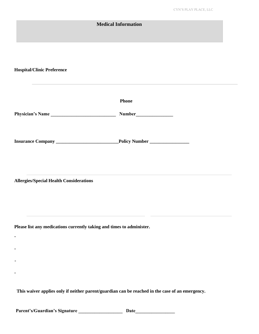| <b>Medical Information</b>                                                                      |       |
|-------------------------------------------------------------------------------------------------|-------|
|                                                                                                 |       |
| <b>Hospital/Clinic Preference</b>                                                               |       |
|                                                                                                 | Phone |
| Physician's Name                                                                                |       |
|                                                                                                 |       |
| <b>Allergies/Special Health Considerations</b>                                                  |       |
| Please list any medications currently taking and times to administer.<br>٠                      |       |
|                                                                                                 |       |
| This waiver applies only if neither parent/guardian can be reached in the case of an emergency. |       |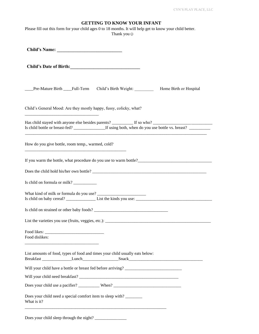| <b>GETTING TO KNOW YOUR INFANT</b> |  |  |  |
|------------------------------------|--|--|--|
|------------------------------------|--|--|--|

| Please fill out this form for your child ages 0 to 18 months. It will help get to know your child better.<br>Thank you $\odot$ |
|--------------------------------------------------------------------------------------------------------------------------------|
|                                                                                                                                |
|                                                                                                                                |
| ___Pre-Mature Birth ___Full-Term Child's Birth Weight: ___________ Home Birth or Hospital                                      |
| Child's General Mood: Are they mostly happy, fussy, colicky, what?                                                             |
|                                                                                                                                |
| How do you give bottle, room temp., warmed, cold?                                                                              |
| If you warm the bottle, what procedure do you use to warm bottle?                                                              |
|                                                                                                                                |
| Is child on formula or milk? ___________                                                                                       |
|                                                                                                                                |
|                                                                                                                                |
|                                                                                                                                |
| Food dislikes:                                                                                                                 |
| List amounts of food, types of food and times your child usually eats below:                                                   |
| Will your child have a bottle or breast fed before arriving?                                                                   |
|                                                                                                                                |
| Does your child use a pacifier? ____________ When? ______________________________                                              |
| Does your child need a special comfort item to sleep with?<br>What is it?                                                      |
|                                                                                                                                |

Does your child sleep through the night? \_\_\_\_\_\_\_\_\_\_\_\_\_\_\_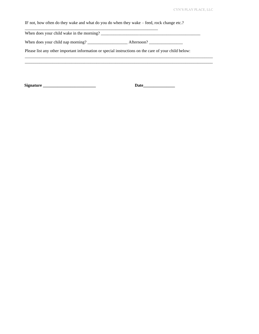IF not, how often do they wake and what do you do when they wake – feed, rock change etc.?

When does your child wake in the morning? \_\_\_\_\_\_\_\_\_\_\_\_\_\_\_\_\_\_\_\_\_\_\_\_\_\_\_\_\_\_\_\_\_\_\_\_\_\_\_\_\_\_\_\_\_\_\_

When does your child nap morning? \_\_\_\_\_\_\_\_\_\_\_\_\_\_\_\_\_\_\_ Afternoon? \_\_\_\_\_\_\_\_\_\_\_\_\_\_\_\_

\_\_\_\_\_\_\_\_\_\_\_\_\_\_\_\_\_\_\_\_\_\_\_\_\_\_\_\_\_\_\_\_\_\_\_\_\_\_\_\_\_\_\_\_\_\_\_\_\_\_\_\_\_\_\_\_\_\_\_\_\_\_\_

Please list any other important information or special instructions on the care of your child below:

\_\_\_\_\_\_\_\_\_\_\_\_\_\_\_\_\_\_\_\_\_\_\_\_\_\_\_\_\_\_\_\_\_\_\_\_\_\_\_\_\_\_\_\_\_\_\_\_\_\_\_\_\_\_\_\_\_\_\_\_\_\_\_\_\_\_\_\_\_\_\_\_\_\_\_\_\_\_\_\_\_\_\_\_\_\_\_\_\_

**Signature \_\_\_\_\_\_\_\_\_\_\_\_\_\_\_\_\_\_\_\_\_\_\_\_\_ Date\_\_\_\_\_\_\_\_\_\_\_\_\_\_\_**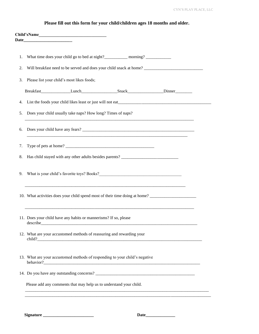|  |  |  |  |  |  |  | Please fill out this form for your child/children ages 18 months and older. |  |  |  |  |  |
|--|--|--|--|--|--|--|-----------------------------------------------------------------------------|--|--|--|--|--|
|--|--|--|--|--|--|--|-----------------------------------------------------------------------------|--|--|--|--|--|

| 1. | What time does your child go to bed at night?___________ morning? ______________ |  |
|----|----------------------------------------------------------------------------------|--|
| 2. |                                                                                  |  |
| 3. | Please list your child's most likes foods;                                       |  |
|    |                                                                                  |  |
| 4. |                                                                                  |  |
| 5. | Does your child usually take naps? How long? Times of naps?                      |  |
|    |                                                                                  |  |
| 6. |                                                                                  |  |
| 7. |                                                                                  |  |
| 8. | Has child stayed with any other adults besides parents? ________________________ |  |
|    |                                                                                  |  |
| 9. |                                                                                  |  |
|    |                                                                                  |  |
|    | 10. What activities does your child spend most of their time doing at home?      |  |
|    |                                                                                  |  |
|    | 11. Does your child have any habits or mannerisms? If so, please                 |  |
|    | 12. What are your accustomed methods of reassuring and rewarding your            |  |
|    |                                                                                  |  |
|    | 13. What are your accustomed methods of responding to your child's negative      |  |
|    | behavior?                                                                        |  |
|    |                                                                                  |  |
|    | Please add any comments that may help us to understand your child.               |  |
|    |                                                                                  |  |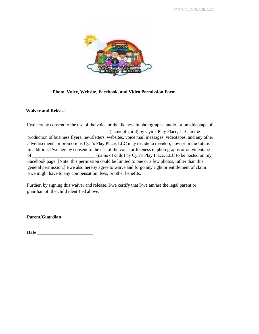

## **Photo, Voice, Website, Facebook, and Video Permission Form**

#### **Waiver and Release**

I/we hereby consent to the use of the voice or the likeness in photographs, audio, or on videotape of \_\_\_\_\_\_\_\_\_\_\_\_\_\_\_\_\_\_\_\_\_\_\_\_\_\_\_\_\_\_\_\_\_\_\_ (name of child) by Cyn's Play Place, LLC in the production of business flyers, newsletters, websites, voice mail messages, videotapes, and any other advertisements or promotions Cyn's Play Place, LLC may decide to develop, now or in the future. In addition, I/we hereby consent to the use of the voice or likeness in photographs or on videotape of  $\Box$  (name of child) by Cyn's Play Place, LLC to be posted on my Facebook page. [Note: this permission could be limited to one or a few photos, rather than this general permission.] I/we also hereby agree to waive and forgo any right or entitlement of claim I/we might have to any compensation, fees, or other benefits.

Further, by signing this waiver and release, I/we certify that I/we am/are the legal parent or guardian of the child identified above.

**Parent/Guardian \_\_\_\_\_\_\_\_\_\_\_\_\_\_\_\_\_\_\_\_\_\_\_\_\_\_\_\_\_\_\_\_\_\_\_\_\_\_\_\_\_\_\_\_\_\_\_** 

**Date \_\_\_\_\_\_\_\_\_\_\_\_\_\_\_\_\_\_\_\_\_\_\_\_**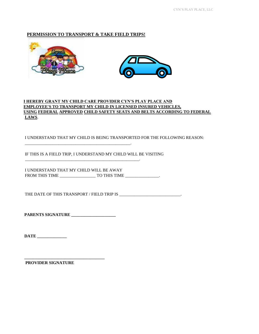## **PERMISSION TO TRANSPORT & TAKE FIELD TRIPS!**





## **I HEREBY GRANT MY CHILD CARE PROVIDER CYN'S PLAY PLACE AND EMPLOYEE'S TO TRANSPORT MY CHILD IN LICENSED INSURED VEHICLES, USING FEDERAL APPROVED CHILD SAFETY SEATS AND BELTS ACCORDING TO FEDERAL LAWS**.

I UNDERSTAND THAT MY CHILD IS BEING TRANSPORTED FOR THE FOLLOWING REASON:

IF THIS IS A FIELD TRIP, I UNDERSTAND MY CHILD WILL BE VISITING

\_\_\_\_\_\_\_\_\_\_\_\_\_\_\_\_\_\_\_\_\_\_\_\_\_\_\_\_\_\_\_\_\_\_\_\_\_\_\_\_\_\_\_\_\_\_\_\_\_\_.

\_\_\_\_\_\_\_\_\_\_\_\_\_\_\_\_\_\_\_\_\_\_\_\_\_\_\_\_\_\_\_\_\_\_\_\_\_\_\_\_\_\_\_\_\_\_\_\_\_\_\_\_\_\_.

I UNDERSTAND THAT MY CHILD WILL BE AWAY FROM THIS TIME \_\_\_\_\_\_\_\_\_\_\_\_\_\_\_\_\_ TO THIS TIME \_\_\_\_\_\_\_\_\_\_\_\_\_\_\_\_.

THE DATE OF THIS TRANSPORT / FIELD TRIP IS \_\_\_\_\_\_\_\_\_\_\_\_\_\_\_\_\_\_\_\_\_\_\_\_\_\_\_\_\_\_.

**PARENTS SIGNATURE \_\_\_\_\_\_\_\_\_\_\_\_\_\_\_\_\_\_\_\_\_** 

**\_\_\_\_\_\_\_\_\_\_\_\_\_\_\_\_\_\_\_\_\_\_\_\_\_\_\_\_\_\_\_\_\_\_\_\_\_\_** 

**DATE \_\_\_\_\_\_\_\_\_\_\_\_\_\_** 

**PROVIDER SIGNATURE**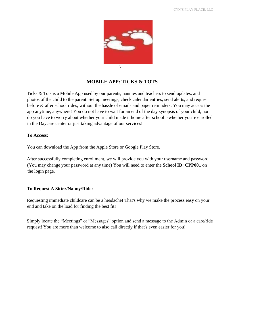

## **MOBILE APP: TICKS & TOTS**

Ticks & Tots is a Mobile App used by our parents, nannies and teachers to send updates, and photos of the child to the parent. Set up meetings, check calendar entries, send alerts, and request before & after school rides; without the hassle of emails and paper reminders. You may access the app anytime, anywhere! You do not have to wait for an end of the day synopsis of your child, nor do you have to worry about whether your child made it home after school! -whether you're enrolled in the Daycare center or just taking advantage of our services!

#### **To Access:**

You can download the App from the Apple Store or Google Play Store.

After successfully completing enrollment, we will provide you with your username and password. (You may change your password at any time) You will need to enter the **School ID: CPP001** on the login page.

#### **To Request A Sitter/Nanny/Ride:**

Requesting immediate childcare can be a headache! That's why we make the process easy on your end and take on the load for finding the best fit!

Simply locate the "Meetings" or "Messages" option and send a message to the Admin or a care/ride request! You are more than welcome to also call directly if that's even easier for you!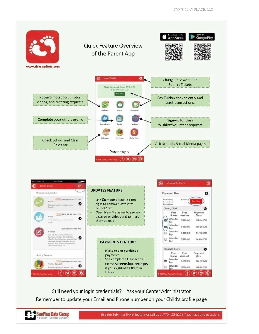

Still need your login credentials? Ask your Center Administrator Remember to update your Email and Phone number on your Child's profile page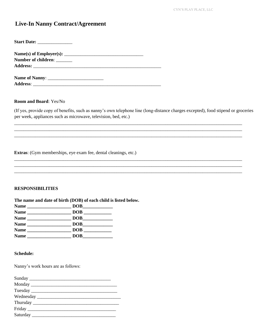## **Live-In Nanny Contract/Agreement**

| <b>Start Date: ________________</b> |  |
|-------------------------------------|--|
|                                     |  |
| Number of children: _______         |  |
|                                     |  |
|                                     |  |
| <b>Address:</b>                     |  |

#### **Room and Board: Yes/No**

(If yes, provide copy of benefits, such as nanny's own telephone line (long-distance charges excepted), food stipend or groceries per week, appliances such as microwave, television, bed, etc.)

Extras: (Gym memberships, eye exam fee, dental cleanings, etc.)

### **RESPONSIBILITIES**

The name and date of birth (DOB) of each child is listed below.

| <b>Name</b>                                                       | DOB        |
|-------------------------------------------------------------------|------------|
| <b>Name</b><br><u> 1989 - John Stein, Amerikaansk politiker (</u> |            |
| <b>Name</b>                                                       | DOB        |
| <b>Name</b>                                                       | <b>DOB</b> |
| <b>Name</b>                                                       | <b>DOB</b> |
| <b>Name</b>                                                       | DOB        |

#### **Schedule:**

Nanny's work hours are as follows:

| Sunday |  |
|--------|--|
|        |  |
|        |  |
|        |  |
|        |  |
|        |  |
|        |  |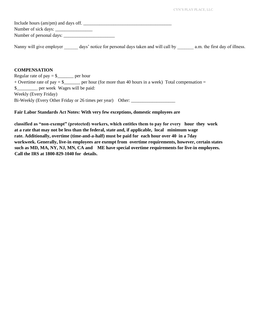| Include hours (am/pm) and days off. |                                                       |                                |
|-------------------------------------|-------------------------------------------------------|--------------------------------|
| Number of sick days:                |                                                       |                                |
| Number of personal days:            |                                                       |                                |
| Nanny will give employer            | days' notice for personal days taken and will call by | a.m. the first day of illness. |

## **COMPENSATION**

| Regular rate of pay $=$ \$ _______ per hour                |                                                                                                         |
|------------------------------------------------------------|---------------------------------------------------------------------------------------------------------|
|                                                            | + Overtime rate of pay = $\frac{8}{2}$ per hour (for more than 40 hours in a week) Total compensation = |
| \$___________ per week Wages will be paid:                 |                                                                                                         |
| Weekly (Every Friday)                                      |                                                                                                         |
| Bi-Weekly (Every Other Friday or 26 times per year) Other: |                                                                                                         |

#### **Fair Labor Standards Act Notes: With very few exceptions, domestic employees are**

**classified as "non-exempt" (protected) workers, which entitles them to pay for every hour they work at a rate that may not be less than the federal, state and, if applicable, local minimum wage rate. Additionally, overtime (time-and-a-half) must be paid for each hour over 40 in a 7day workweek. Generally, live-in employees are exempt from overtime requirements, however, certain states such as MD, MA, NY, NJ, MN, CA and ME have special overtime requirements for live-in employees. Call the IRS at 1800-829-1040 for details.**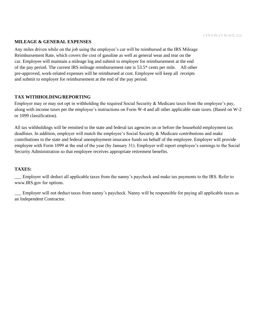## **MILEAGE & GENERAL EXPENSES**

Any miles driven while on the job using the employee's car will be reimbursed at the IRS Mileage Reimbursement Rate, which covers the cost of gasoline as well as general wear and tear on the car. Employee will maintain a mileage log and submit to employer for reimbursement at the end of the pay period. The current IRS mileage reimbursement rate is 53.5\* cents per mile. All other pre-approved, work-related expenses will be reimbursed at cost. Employee will keep all receipts and submit to employer for reimbursement at the end of the pay period.

## **TAX WITHHOLDING/REPORTING**

Employer may or may not opt in withholding the required Social Security  $\&$  Medicare taxes from the employee's pay, along with income taxes per the employee's instructions on Form W-4 and all other applicable state taxes. (Based on W-2 or 1099 classification).

All tax withholdings will be remitted to the state and federal tax agencies on or before the household employment tax deadlines. In addition, employer will match the employee's Social Security & Medicare contributions and make contributions to the state and federal unemployment insurance funds on behalf of the employee. Employer will provide employee with Form 1099 at the end of the year (by January 31). Employer will report employee's earnings to the Social Security Administration so that employee receives appropriate retirement benefits.

#### **TAXES:**

\_\_\_ Employer will deduct all applicable taxes from the nanny's paycheck and make tax payments to the IRS. Refer to www.IRS.gov for options.

\_\_\_ Employer will not deduct taxes from nanny's paycheck. Nanny will be responsible for paying all applicable taxes as an Independent Contractor.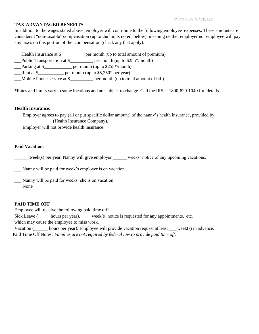### **TAX-ADVANTAGED BENEFITS**

In addition to the wages stated above, employer will contribute to the following employee expenses. These amounts are considered "non-taxable" compensation (up to the limits noted below), meaning neither employer nor employee will pay any taxes on this portion of the compensation (check any that apply):

\_\_\_Health Insurance at \$\_\_\_\_\_\_\_\_\_\_ per month (up to total amount of premium)

\_\_\_Public Transportation at \$\_\_\_\_\_\_\_\_\_\_ per month (up to \$255\*/month)

\_\_\_Parking at \$\_\_\_\_\_\_\_\_\_\_\_\_ per month (up to \$255\*/month)

 $\frac{\text{Rent at } $$  per month (up to \$5,250\* per year)

\_\_\_Mobile Phone service at \$\_\_\_\_\_\_\_\_\_\_ per month (up to total amount of bill)

\*Rates and limits vary in some locations and are subject to change. Call the IRS at 1800-829-1040 for details.

#### **Health Insurance**:

\_\_\_ Employer agrees to pay (all or put specific dollar amount) of the nanny's health insurance, provided by \_\_\_\_\_\_\_\_\_\_\_\_\_\_\_\_ (Health Insurance Company).

\_\_\_ Employer will not provide health insurance.

## **Paid Vacation**:

\_\_\_\_\_\_ week(s) per year. Nanny will give employer \_\_\_\_\_\_ weeks' notice of any upcoming vacations.

\_\_\_ Nanny will be paid for week's employer is on vacation.

\_\_\_ Nanny will be paid for weeks' she is on vacation.

\_\_\_ None

## **PAID TIME OFF**

Employee will receive the following paid time off:

Sick Leave (
section leave per year). Since is requested for any appointments, etc.

which may cause the employee to miss work.

Vacation (\_\_\_\_\_\_ hours per year). Employee will provide vacation request at least \_\_\_ week(s) in advance. Paid Time Off Notes*: Families are not required by federal law to provide paid time off.*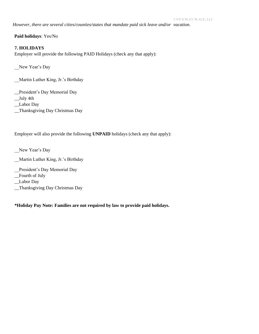*However, there are several cities/counties/states that mandate paid sick leave and/or vacation.* 

**Paid holidays**: Yes/No

## **7. HOLIDAYS**

Employer will provide the following PAID Holidays (check any that apply):

New Year's Day

\_\_Martin Luther King, Jr.'s Birthday

\_\_President's Day Memorial Day

\_\_July 4th

\_\_Labor Day

\_\_Thanksgiving Day Christmas Day

Employer will also provide the following **UNPAID** holidays (check any that apply):

\_\_New Year's Day

- \_\_Martin Luther King, Jr.'s Birthday
- President's Day Memorial Day

\_\_Fourth of July

\_\_Labor Day

\_\_Thanksgiving Day Christmas Day

**\*Holiday Pay Note: Families are not required by law to provide paid holidays.**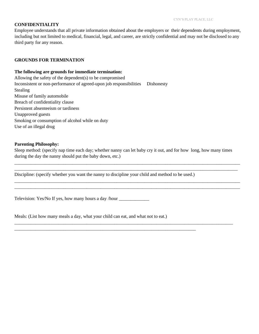## **CONFIDENTIALITY**

Employee understands that all private information obtained about the employers or their dependents during employment, including but not limited to medical, financial, legal, and career, are strictly confidential and may not be disclosed to any third party for any reason.

#### **GROUNDS FOR TERMINATION**

#### **The following are grounds for immediate termination:**

Allowing the safety of the dependent(s) to be compromised Inconsistent or non-performance of agreed-upon job responsibilities Dishonesty Stealing Misuse of family automobile Breach of confidentiality clause Persistent absenteeism or tardiness Unapproved guests Smoking or consumption of alcohol while on duty Use of an illegal drug

#### **Parenting Philosophy:**

Sleep method: (specify nap time each day; whether nanny can let baby cry it out, and for how long, how many times during the day the nanny should put the baby down, etc.)

\_\_\_\_\_\_\_\_\_\_\_\_\_\_\_\_\_\_\_\_\_\_\_\_\_\_\_\_\_\_\_\_\_\_\_\_\_\_\_\_\_\_\_\_\_\_\_\_\_\_\_\_\_\_\_\_\_\_\_\_\_\_\_\_\_\_\_\_\_\_\_\_\_\_\_\_\_\_\_\_\_\_\_\_\_\_\_\_\_\_\_\_\_\_\_\_\_ \_\_\_\_\_\_\_\_\_\_\_\_\_\_\_\_\_\_\_\_\_\_\_\_\_\_\_\_\_\_\_\_\_\_\_\_\_\_\_\_\_\_\_\_\_\_\_\_\_\_\_\_\_\_\_\_\_\_\_\_\_\_\_\_\_\_\_\_\_\_\_\_\_\_\_\_\_\_\_\_\_\_\_\_\_\_\_\_\_\_\_\_\_\_\_\_

\_\_\_\_\_\_\_\_\_\_\_\_\_\_\_\_\_\_\_\_\_\_\_\_\_\_\_\_\_\_\_\_\_\_\_\_\_\_\_\_\_\_\_\_\_\_\_\_\_\_\_\_\_\_\_\_\_\_\_\_\_\_\_\_\_\_\_\_\_\_\_\_\_\_\_\_\_\_\_\_\_\_\_\_\_\_\_\_\_\_\_\_\_\_\_\_\_ \_\_\_\_\_\_\_\_\_\_\_\_\_\_\_\_\_\_\_\_\_\_\_\_\_\_\_\_\_\_\_\_\_\_\_\_\_\_\_\_\_\_\_\_\_\_\_\_\_\_\_\_\_\_\_\_\_\_\_\_\_\_\_\_\_\_\_\_\_\_\_\_\_\_\_\_\_\_\_\_\_\_\_\_\_\_\_\_\_\_\_\_\_\_\_\_\_

\_\_\_\_\_\_\_\_\_\_\_\_\_\_\_\_\_\_\_\_\_\_\_\_\_\_\_\_\_\_\_\_\_\_\_\_\_\_\_\_\_\_\_\_\_\_\_\_\_\_\_\_\_\_\_\_\_\_\_\_\_\_\_\_\_\_\_\_\_\_\_\_\_\_\_\_\_\_\_\_\_\_\_\_\_\_\_\_\_\_\_\_\_\_

Discipline: (specify whether you want the nanny to discipline your child and method to be used.)

\_\_\_\_\_\_\_\_\_\_\_\_\_\_\_\_\_\_\_\_\_\_\_\_\_\_\_\_\_\_\_\_\_\_\_\_\_\_\_\_\_\_\_\_\_\_\_\_\_\_\_\_\_\_\_\_\_\_\_\_\_\_\_\_\_\_\_\_\_\_\_\_\_\_\_\_\_\_

Television: Yes/No If yes, how many hours a day /hour \_\_\_\_\_\_\_\_\_\_\_\_\_\_\_\_\_\_\_\_\_\_\_\_\_\_\_

Meals: (List how many meals a day, what your child can eat, and what not to eat.)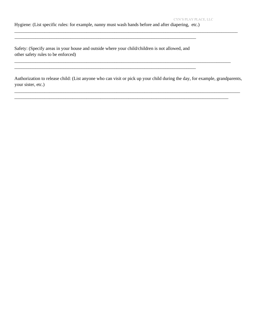Hygiene: (List specific rules: for example, nanny must wash hands before and after diapering, etc.)

\_\_\_\_\_\_\_\_\_\_\_\_\_\_\_\_\_\_\_\_\_\_\_\_\_\_\_\_\_\_\_\_\_\_\_\_\_\_\_\_\_\_\_\_\_\_\_\_\_\_\_\_\_\_\_\_\_\_\_\_\_\_\_\_\_\_\_\_\_\_\_\_\_\_\_\_\_\_

\_\_\_\_\_\_\_\_\_\_\_\_\_\_\_\_\_\_\_\_\_\_\_\_\_\_\_\_\_\_\_\_\_\_\_\_\_\_\_\_\_\_\_\_\_\_\_\_\_\_\_\_\_\_\_\_\_\_\_\_\_\_\_\_\_\_\_\_\_\_\_\_\_\_\_\_\_\_

Safety: (Specify areas in your house and outside where your child/children is not allowed, and other safety rules to be enforced)

Authorization to release child: (List anyone who can visit or pick up your child during the day, for example, grandparents, your sister, etc.)

\_\_\_\_\_\_\_\_\_\_\_\_\_\_\_\_\_\_\_\_\_\_\_\_\_\_\_\_\_\_\_\_\_\_\_\_\_\_\_\_\_\_\_\_\_\_\_\_\_\_\_\_\_\_\_\_\_\_\_\_\_\_\_\_\_\_\_\_\_\_\_\_\_\_\_\_\_\_\_\_\_\_\_\_\_\_\_\_\_\_\_\_\_\_\_\_\_

\_\_\_\_\_\_\_\_\_\_\_\_\_\_\_\_\_\_\_\_\_\_\_\_\_\_\_\_\_\_\_\_\_\_\_\_\_\_\_\_\_\_\_\_\_\_\_\_\_\_\_\_\_\_\_\_\_\_\_\_\_\_\_\_\_\_\_\_\_\_\_\_\_\_\_\_\_\_\_\_\_\_\_\_\_\_\_\_\_\_\_\_

\_\_\_\_\_\_\_\_\_\_\_\_\_\_\_\_\_\_\_\_\_\_\_\_\_\_\_\_\_\_\_\_\_\_\_\_\_\_\_\_\_\_\_\_\_\_\_\_\_\_\_\_\_\_\_\_\_\_\_\_\_\_\_\_\_\_\_\_\_\_\_\_\_\_\_\_\_\_\_\_\_\_\_\_\_\_\_\_\_\_\_\_\_

\_\_\_\_\_\_\_\_\_\_\_\_\_\_\_\_\_\_\_\_\_\_\_\_\_\_\_\_\_\_\_\_\_\_\_\_\_\_\_\_\_\_\_\_\_\_\_\_\_\_\_\_\_\_\_\_\_\_\_\_\_\_\_\_\_\_\_\_\_\_\_\_\_\_\_\_\_\_\_\_\_\_\_\_\_\_\_\_\_\_\_\_\_\_\_\_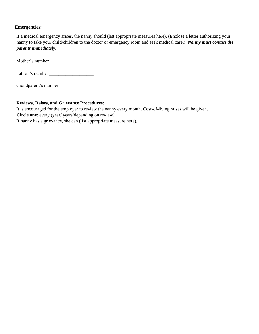## **Emergencies:**

If a medical emergency arises, the nanny should (list appropriate measures here). (Enclose a letter authorizing your nanny to take your child/children to the doctor or emergency room and seek medical care.) *Nanny must contact the parents immediately.* 

Mother's number \_\_\_\_\_\_\_\_\_\_\_\_\_\_\_\_\_\_

Father 's number \_\_\_\_\_\_\_\_\_\_\_\_\_\_\_\_\_\_\_

Grandparent's number \_\_\_\_\_\_\_\_\_\_\_\_\_\_\_\_\_\_\_\_\_\_\_\_\_\_\_\_\_\_\_\_

## **Reviews, Raises, and Grievance Procedures:**

It is encouraged for the employer to review the nanny every month. Cost-of-living raises will be given, **Circle one**: every (year/ years/depending on review).

If nanny has a grievance, she can (list appropriate measure here).

\_\_\_\_\_\_\_\_\_\_\_\_\_\_\_\_\_\_\_\_\_\_\_\_\_\_\_\_\_\_\_\_\_\_\_\_\_\_\_\_\_\_\_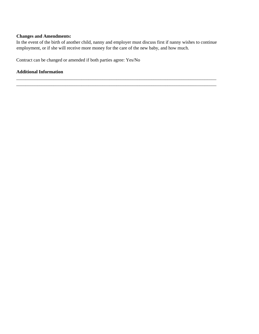## **Changes and Amendments:**

In the event of the birth of another child, nanny and employer must discuss first if nanny wishes to continue employment, or if she will receive more money for the care of the new baby, and how much.

\_\_\_\_\_\_\_\_\_\_\_\_\_\_\_\_\_\_\_\_\_\_\_\_\_\_\_\_\_\_\_\_\_\_\_\_\_\_\_\_\_\_\_\_\_\_\_\_\_\_\_\_\_\_\_\_\_\_\_\_\_\_\_\_\_\_\_\_\_\_\_\_\_\_\_\_\_\_\_\_\_\_\_\_\_\_ \_\_\_\_\_\_\_\_\_\_\_\_\_\_\_\_\_\_\_\_\_\_\_\_\_\_\_\_\_\_\_\_\_\_\_\_\_\_\_\_\_\_\_\_\_\_\_\_\_\_\_\_\_\_\_\_\_\_\_\_\_\_\_\_\_\_\_\_\_\_\_\_\_\_\_\_\_\_\_\_\_\_\_\_\_\_

Contract can be changed or amended if both parties agree: Yes/No

## **Additional Information**